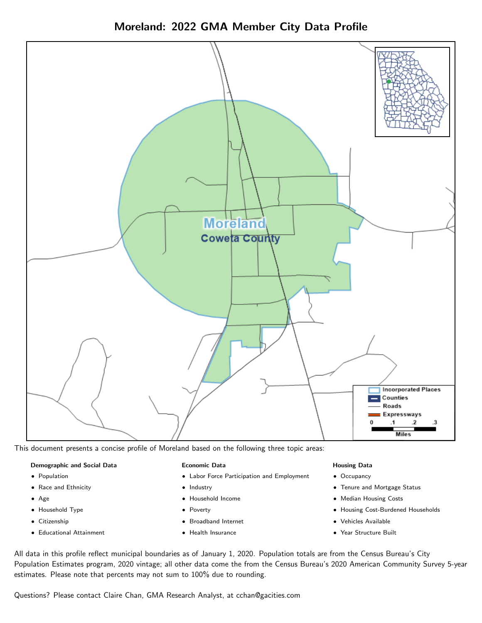



This document presents a concise profile of Moreland based on the following three topic areas:

### Demographic and Social Data

- **•** Population
- Race and Ethnicity
- Age
- Household Type
- **Citizenship**
- Educational Attainment

#### Economic Data

- Labor Force Participation and Employment
- Industry
- Household Income
- Poverty
- Broadband Internet
- Health Insurance

#### Housing Data

- Occupancy
- Tenure and Mortgage Status
- Median Housing Costs
- Housing Cost-Burdened Households
- Vehicles Available
- Year Structure Built

All data in this profile reflect municipal boundaries as of January 1, 2020. Population totals are from the Census Bureau's City Population Estimates program, 2020 vintage; all other data come the from the Census Bureau's 2020 American Community Survey 5-year estimates. Please note that percents may not sum to 100% due to rounding.

Questions? Please contact Claire Chan, GMA Research Analyst, at [cchan@gacities.com.](mailto:cchan@gacities.com)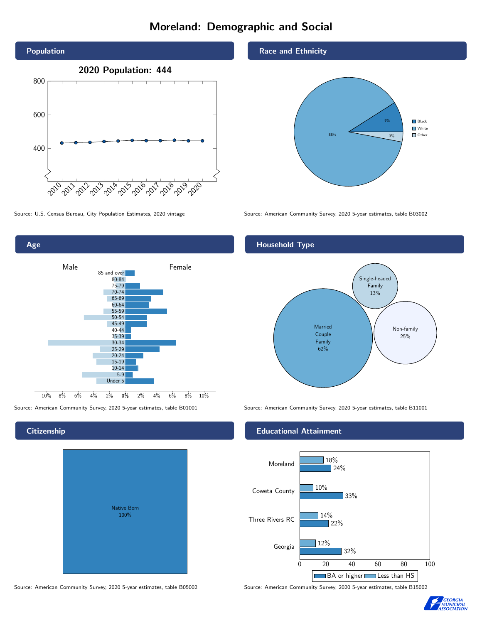# Moreland: Demographic and Social



Age



## **Citizenship**

| Native Born<br>100% |  |
|---------------------|--|

Race and Ethnicity



Source: U.S. Census Bureau, City Population Estimates, 2020 vintage Source: American Community Survey, 2020 5-year estimates, table B03002

## Household Type



Source: American Community Survey, 2020 5-year estimates, table B01001 Source: American Community Survey, 2020 5-year estimates, table B11001

### Educational Attainment



Source: American Community Survey, 2020 5-year estimates, table B05002 Source: American Community Survey, 2020 5-year estimates, table B15002

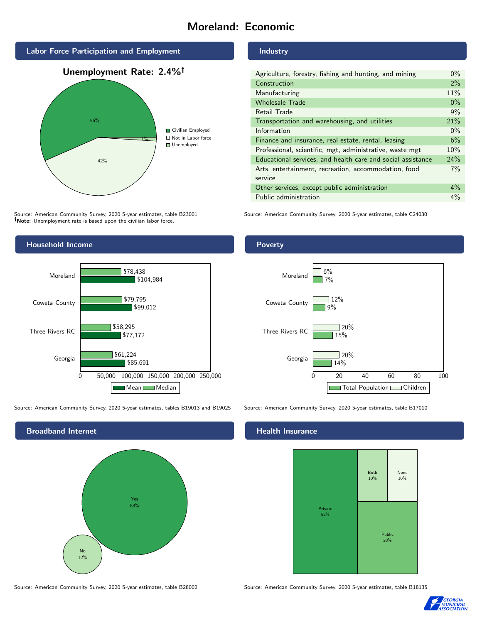# Moreland: Economic



Source: American Community Survey, 2020 5-year estimates, table B23001 Note: Unemployment rate is based upon the civilian labor force.



Source: American Community Survey, 2020 5-year estimates, tables B19013 and B19025 Source: American Community Survey, 2020 5-year estimates, table B17010



#### Industry

Poverty

| Agriculture, forestry, fishing and hunting, and mining      | $0\%$ |
|-------------------------------------------------------------|-------|
| Construction                                                | 2%    |
| Manufacturing                                               | 11%   |
| <b>Wholesale Trade</b>                                      | $0\%$ |
| Retail Trade                                                | 9%    |
| Transportation and warehousing, and utilities               | 21%   |
| Information                                                 | $0\%$ |
| Finance and insurance, real estate, rental, leasing         | 6%    |
| Professional, scientific, mgt, administrative, waste mgt    | 10%   |
| Educational services, and health care and social assistance | 24%   |
| Arts, entertainment, recreation, accommodation, food        |       |
| service                                                     |       |
| Other services, except public administration                | $4\%$ |
| Public administration                                       | $4\%$ |

Source: American Community Survey, 2020 5-year estimates, table C24030

## 0 20 40 60 80 100 Georgia Three Rivers RC Coweta County Moreland 14%  $15%$ 9% 7%  $\sqrt{20\%}$  $\sqrt{20\%}$  $12%$ 6%

Total Population Children

## **Health Insurance**



Source: American Community Survey, 2020 5-year estimates, table B28002 Source: American Community Survey, 2020 5-year estimates, table B18135